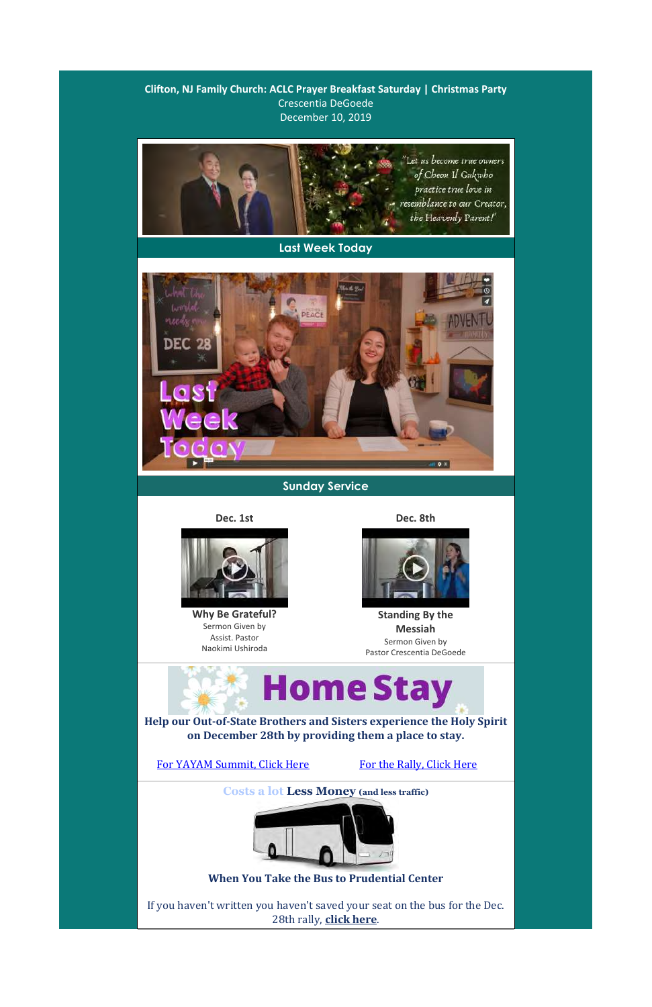**Clifton, NJ Family Church: ACLC Prayer Breakfast Saturday | Christmas Party** Crescentia DeGoede December 10, 2019

## **Sunday Service**

**Dec. 1st Dec. 8th**



**Why Be Grateful?** Sermon Given by Assist. Pastor Naokimi Ushiroda



**Standing By the Messiah** Sermon Given by Pastor Crescentia DeGoede

**Help our Out-of-State Brothers and Sisters experience the Holy Spirit on December 28th by providing them a place to stay.**



## For YAYAM Summit, Click Here For the Rally, Click Here



**Last Week Today**



**Costs a lot Less Money (and less traffic)**



## **When You Take the Bus to Prudential Center**

If you haven't written you haven't saved your seat on the bus for the Dec. 28th rally, **click here**.

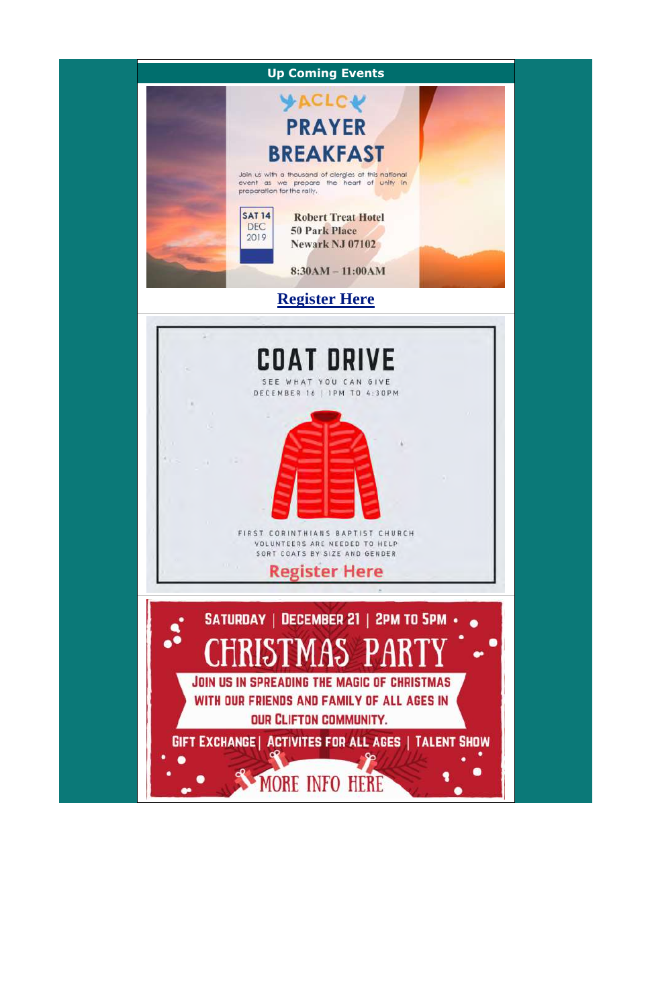